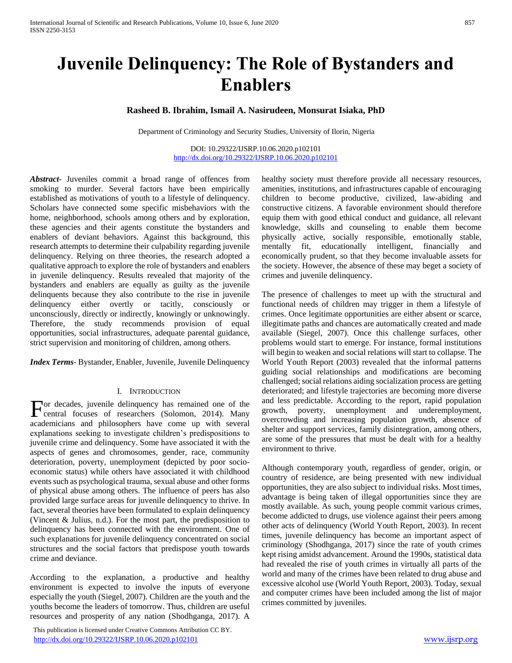# **Juvenile Delinquency: The Role of Bystanders and Enablers**

**Rasheed B. Ibrahim, Ismail A. Nasirudeen, Monsurat Isiaka, PhD**

Department of Criminology and Security Studies, University of Ilorin, Nigeria

DOI: 10.29322/IJSRP.10.06.2020.p102101 <http://dx.doi.org/10.29322/IJSRP.10.06.2020.p102101>

*Abstract***-** Juveniles commit a broad range of offences from smoking to murder. Several factors have been empirically established as motivations of youth to a lifestyle of delinquency. Scholars have connected some specific misbehaviors with the home, neighborhood, schools among others and by exploration, these agencies and their agents constitute the bystanders and enablers of deviant behaviors. Against this background, this research attempts to determine their culpability regarding juvenile delinquency. Relying on three theories, the research adopted a qualitative approach to explore the role of bystanders and enablers in juvenile delinquency. Results revealed that majority of the bystanders and enablers are equally as guilty as the juvenile delinquents because they also contribute to the rise in juvenile delinquency either overtly or tacitly, consciously or unconsciously, directly or indirectly, knowingly or unknowingly. Therefore, the study recommends provision of equal opportunities, social infrastructures, adequate parental guidance, strict supervision and monitoring of children, among others.

*Index Terms*- Bystander, Enabler, Juvenile, Juvenile Delinquency

#### I. INTRODUCTION

or decades, juvenile delinquency has remained one of the For decades, juvenile delinquency has remained one of the central focuses of researchers (Solomon, 2014). Many academicians and philosophers have come up with several explanations seeking to investigate children's predispositions to juvenile crime and delinquency. Some have associated it with the aspects of genes and chromosomes, gender, race, community deterioration, poverty, unemployment (depicted by poor socioeconomic status) while others have associated it with childhood events such as psychological trauma, sexual abuse and other forms of physical abuse among others. The influence of peers has also provided large surface areas for juvenile delinquency to thrive. In fact, several theories have been formulated to explain delinquency (Vincent & Julius, n.d.). For the most part, the predisposition to delinquency has been connected with the environment. One of such explanations for juvenile delinquency concentrated on social structures and the social factors that predispose youth towards crime and deviance.

According to the explanation, a productive and healthy environment is expected to involve the inputs of everyone especially the youth (Siegel, 2007). Children are the youth and the youths become the leaders of tomorrow. Thus, children are useful resources and prosperity of any nation (Shodhganga, 2017). A

 This publication is licensed under Creative Commons Attribution CC BY. <http://dx.doi.org/10.29322/IJSRP.10.06.2020.p102101> [www.ijsrp.org](http://ijsrp.org/)

healthy society must therefore provide all necessary resources, amenities, institutions, and infrastructures capable of encouraging children to become productive, civilized, law-abiding and constructive citizens. A favorable environment should therefore equip them with good ethical conduct and guidance, all relevant knowledge, skills and counseling to enable them become physically active, socially responsible, emotionally stable, mentally fit, educationally intelligent, financially and economically prudent, so that they become invaluable assets for the society. However, the absence of these may beget a society of crimes and juvenile delinquency.

The presence of challenges to meet up with the structural and functional needs of children may trigger in them a lifestyle of crimes. Once legitimate opportunities are either absent or scarce, illegitimate paths and chances are automatically created and made available (Siegel, 2007). Once this challenge surfaces, other problems would start to emerge. For instance, formal institutions will begin to weaken and social relations will start to collapse. The World Youth Report (2003) revealed that the informal patterns guiding social relationships and modifications are becoming challenged; social relations aiding socialization process are getting deteriorated; and lifestyle trajectories are becoming more diverse and less predictable. According to the report, rapid population growth, poverty, unemployment and underemployment, overcrowding and increasing population growth, absence of shelter and support services, family disintegration, among others, are some of the pressures that must be dealt with for a healthy environment to thrive.

Although contemporary youth, regardless of gender, origin, or country of residence, are being presented with new individual opportunities, they are also subject to individual risks. Most times, advantage is being taken of illegal opportunities since they are mostly available. As such, young people commit various crimes, become addicted to drugs, use violence against their peers among other acts of delinquency (World Youth Report, 2003). In recent times, juvenile delinquency has become an important aspect of criminology (Shodhganga, 2017) since the rate of youth crimes kept rising amidst advancement. Around the 1990s, statistical data had revealed the rise of youth crimes in virtually all parts of the world and many of the crimes have been related to drug abuse and excessive alcohol use (World Youth Report, 2003). Today, sexual and computer crimes have been included among the list of major crimes committed by juveniles.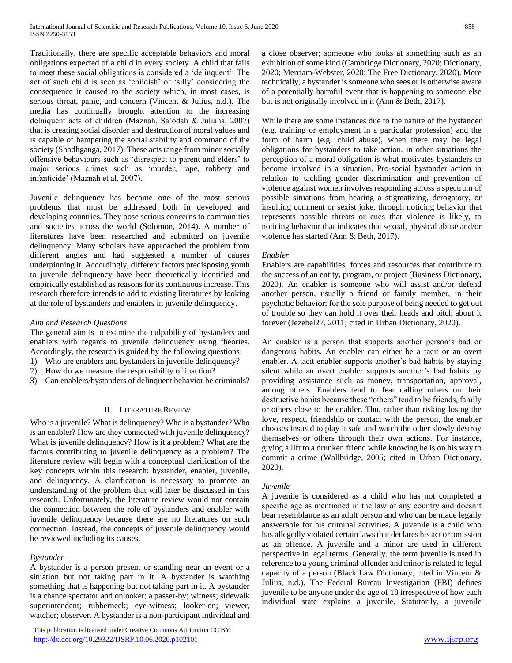Traditionally, there are specific acceptable behaviors and moral obligations expected of a child in every society. A child that fails to meet these social obligations is considered a 'delinquent'. The act of such child is seen as 'childish' or 'silly' considering the consequence it caused to the society which, in most cases, is serious threat, panic, and concern (Vincent & Julius, n.d.). The media has continually brought attention to the increasing delinquent acts of children (Maznah, Sa'odah & Juliana, 2007) that is creating social disorder and destruction of moral values and is capable of hampering the social stability and command of the society (Shodhganga, 2017). These acts range from minor socially offensive behaviours such as 'disrespect to parent and elders' to major serious crimes such as 'murder, rape, robbery and infanticide' (Maznah et al, 2007).

Juvenile delinquency has become one of the most serious problems that must be addressed both in developed and developing countries. They pose serious concerns to communities and societies across the world (Solomon, 2014). A number of literatures have been researched and submitted on juvenile delinquency. Many scholars have approached the problem from different angles and had suggested a number of causes underpinning it. Accordingly, different factors predisposing youth to juvenile delinquency have been theoretically identified and empirically established as reasons for its continuous increase. This research therefore intends to add to existing literatures by looking at the role of bystanders and enablers in juvenile delinquency.

# *Aim and Research Questions*

The general aim is to examine the culpability of bystanders and enablers with regards to juvenile delinquency using theories. Accordingly, the research is guided by the following questions:

- 1) Who are enablers and bystanders in juvenile delinquency?
- 2) How do we measure the responsibility of inaction?
- 3) Can enablers/bystanders of delinquent behavior be criminals?

# II. LITERATURE REVIEW

Who is a juvenile? What is delinquency? Who is a bystander? Who is an enabler? How are they connected with juvenile delinquency? What is juvenile delinquency? How is it a problem? What are the factors contributing to juvenile delinquency as a problem? The literature review will begin with a conceptual clarification of the key concepts within this research: bystander, enabler, juvenile, and delinquency. A clarification is necessary to promote an understanding of the problem that will later be discussed in this research. Unfortunately, the literature review would not contain the connection between the role of bystanders and enabler with juvenile delinquency because there are no literatures on such connection. Instead, the concepts of juvenile delinquency would be reviewed including its causes.

### *Bystander*

A bystander is a person present or standing near an event or a situation but not taking part in it. A bystander is watching something that is happening but not taking part in it. A bystander is a chance spectator and onlooker; a passer-by; witness; sidewalk superintendent; rubberneck; eye-witness; looker-on; viewer, watcher; observer. A bystander is a non-participant individual and

 This publication is licensed under Creative Commons Attribution CC BY. <http://dx.doi.org/10.29322/IJSRP.10.06.2020.p102101> [www.ijsrp.org](http://ijsrp.org/)

a close observer; someone who looks at something such as an exhibition of some kind (Cambridge Dictionary, 2020; Dictionary, 2020; Merriam-Webster, 2020; The Free Dictionary, 2020). More technically, a bystander is someone who sees or is otherwise aware of a potentially harmful event that is happening to someone else but is not originally involved in it (Ann & Beth, 2017).

While there are some instances due to the nature of the bystander (e.g. training or employment in a particular profession) and the form of harm (e.g. child abuse), when there may be legal obligations for bystanders to take action, in other situations the perception of a moral obligation is what motivates bystanders to become involved in a situation. Pro-social bystander action in relation to tackling gender discrimination and prevention of violence against women involves responding across a spectrum of possible situations from hearing a stigmatizing, derogatory, or insulting comment or sexist joke, through noticing behavior that represents possible threats or cues that violence is likely, to noticing behavior that indicates that sexual, physical abuse and/or violence has started (Ann & Beth, 2017).

### *Enabler*

Enablers are capabilities, forces and resources that contribute to the success of an entity, program, or project (Business Dictionary, 2020). An enabler is someone who will assist and/or defend another person, usually a friend or family member, in their psychotic behavior; for the sole purpose of being needed to get out of trouble so they can hold it over their heads and bitch about it forever (Jezebel27, 2011; cited in Urban Dictionary, 2020).

An enabler is a person that supports another person's bad or dangerous habits. An enabler can either be a tacit or an overt enabler. A tacit enabler supports another's bad habits by staying silent while an overt enabler supports another's bad habits by providing assistance such as money, transportation, approval, among others. Enablers tend to fear calling others on their destructive habits because these "others" tend to be friends, family or others close to the enabler. Thu, rather than risking losing the love, respect, friendship or contact with the person, the enabler chooses instead to play it safe and watch the other slowly destroy themselves or others through their own actions. For instance, giving a lift to a drunken friend while knowing he is on his way to commit a crime (Wallbridge, 2005; cited in Urban Dictionary, 2020).

### *Juvenile*

A juvenile is considered as a child who has not completed a specific age as mentioned in the law of any country and doesn't bear resemblance as an adult person and who can be made legally answerable for his criminal activities. A juvenile is a child who has allegedly violated certain laws that declares his act or omission as an offence. A juvenile and a minor are used in different perspective in legal terms. Generally, the term juvenile is used in reference to a young criminal offender and minor is related to legal capacity of a person (Black Law Dictionary, cited in Vincent & Julius, n.d.). The Federal Bureau Investigation (FBI) defines juvenile to be anyone under the age of 18 irrespective of how each individual state explains a juvenile. Statutorily, a juvenile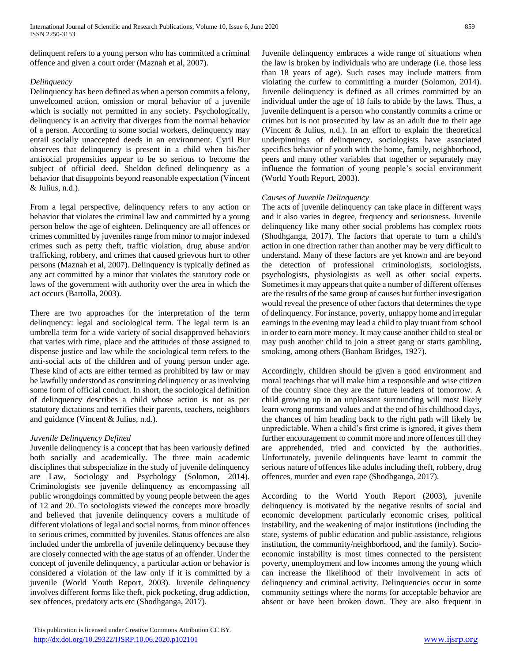delinquent refers to a young person who has committed a criminal offence and given a court order (Maznah et al, 2007).

# *Delinquency*

Delinquency has been defined as when a person commits a felony, unwelcomed action, omission or moral behavior of a juvenile which is socially not permitted in any society. Psychologically, delinquency is an activity that diverges from the normal behavior of a person. According to some social workers, delinquency may entail socially unaccepted deeds in an environment. Cyril Bur observes that delinquency is present in a child when his/her antisocial propensities appear to be so serious to become the subject of official deed. Sheldon defined delinquency as a behavior that disappoints beyond reasonable expectation (Vincent & Julius, n.d.).

From a legal perspective, delinquency refers to any action or behavior that violates the criminal law and committed by a young person below the age of eighteen. Delinquency are all offences or crimes committed by juveniles range from minor to major indexed crimes such as petty theft, traffic violation, drug abuse and/or trafficking, robbery, and crimes that caused grievous hurt to other persons (Maznah et al, 2007). Delinquency is typically defined as any act committed by a minor that violates the statutory code or laws of the government with authority over the area in which the act occurs (Bartolla, 2003).

There are two approaches for the interpretation of the term delinquency: legal and sociological term. The legal term is an umbrella term for a wide variety of social disapproved behaviors that varies with time, place and the attitudes of those assigned to dispense justice and law while the sociological term refers to the anti-social acts of the children and of young person under age. These kind of acts are either termed as prohibited by law or may be lawfully understood as constituting delinquency or as involving some form of official conduct. In short, the sociological definition of delinquency describes a child whose action is not as per statutory dictations and terrifies their parents, teachers, neighbors and guidance (Vincent & Julius, n.d.).

# *Juvenile Delinquency Defined*

Juvenile delinquency is a concept that has been variously defined both socially and academically. The three main academic disciplines that subspecialize in the study of juvenile delinquency are Law, Sociology and Psychology (Solomon, 2014). Criminologists see juvenile delinquency as encompassing all public wrongdoings committed by young people between the ages of 12 and 20. To sociologists viewed the concepts more broadly and believed that juvenile delinquency covers a multitude of different violations of legal and social norms, from minor offences to serious crimes, committed by juveniles. Status offences are also included under the umbrella of juvenile delinquency because they are closely connected with the age status of an offender. Under the concept of juvenile delinquency, a particular action or behavior is considered a violation of the law only if it is committed by a juvenile (World Youth Report, 2003). Juvenile delinquency involves different forms like theft, pick pocketing, drug addiction, sex offences, predatory acts etc (Shodhganga, 2017).

Juvenile delinquency embraces a wide range of situations when the law is broken by individuals who are underage (i.e. those less than 18 years of age). Such cases may include matters from violating the curfew to committing a murder (Solomon, 2014). Juvenile delinquency is defined as all crimes committed by an individual under the age of 18 fails to abide by the laws. Thus, a juvenile delinquent is a person who constantly commits a crime or crimes but is not prosecuted by law as an adult due to their age (Vincent & Julius, n.d.). In an effort to explain the theoretical underpinnings of delinquency, sociologists have associated specifics behavior of youth with the home, family, neighborhood, peers and many other variables that together or separately may influence the formation of young people's social environment (World Youth Report, 2003).

# *Causes of Juvenile Delinquency*

The acts of juvenile delinquency can take place in different ways and it also varies in degree, frequency and seriousness. Juvenile delinquency like many other social problems has complex roots (Shodhganga, 2017). The factors that operate to turn a child's action in one direction rather than another may be very difficult to understand. Many of these factors are yet known and are beyond the detection of professional criminologists, sociologists, psychologists, physiologists as well as other social experts. Sometimes it may appears that quite a number of different offenses are the results of the same group of causes but further investigation would reveal the presence of other factors that determines the type of delinquency. For instance, poverty, unhappy home and irregular earnings in the evening may lead a child to play truant from school in order to earn more money. It may cause another child to steal or may push another child to join a street gang or starts gambling, smoking, among others (Banham Bridges, 1927).

Accordingly, children should be given a good environment and moral teachings that will make him a responsible and wise citizen of the country since they are the future leaders of tomorrow. A child growing up in an unpleasant surrounding will most likely learn wrong norms and values and at the end of his childhood days, the chances of him heading back to the right path will likely be unpredictable. When a child's first crime is ignored, it gives them further encouragement to commit more and more offences till they are apprehended, tried and convicted by the authorities. Unfortunately, juvenile delinquents have learnt to commit the serious nature of offences like adults including theft, robbery, drug offences, murder and even rape (Shodhganga, 2017).

According to the World Youth Report (2003), juvenile delinquency is motivated by the negative results of social and economic development particularly economic crises, political instability, and the weakening of major institutions (including the state, systems of public education and public assistance, religious institution, the community/neighborhood, and the family). Socioeconomic instability is most times connected to the persistent poverty, unemployment and low incomes among the young which can increase the likelihood of their involvement in acts of delinquency and criminal activity. Delinquencies occur in some community settings where the norms for acceptable behavior are absent or have been broken down. They are also frequent in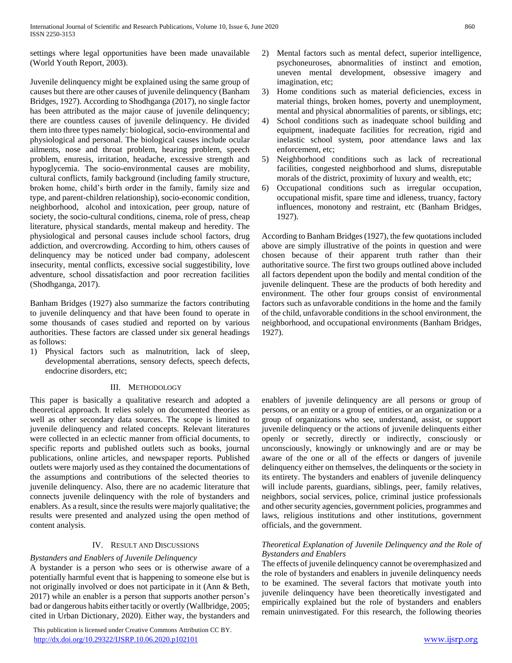settings where legal opportunities have been made unavailable (World Youth Report, 2003).

Juvenile delinquency might be explained using the same group of causes but there are other causes of juvenile delinquency (Banham Bridges, 1927). According to Shodhganga (2017), no single factor has been attributed as the major cause of juvenile delinquency; there are countless causes of juvenile delinquency. He divided them into three types namely: biological, socio-environmental and physiological and personal. The biological causes include ocular ailments, nose and throat problem, hearing problem, speech problem, enuresis, irritation, headache, excessive strength and hypoglycemia. The socio-environmental causes are mobility, cultural conflicts, family background (including family structure, broken home, child's birth order in the family, family size and type, and parent-children relationship), socio-economic condition, neighborhood, alcohol and intoxication, peer group, nature of society, the socio-cultural conditions, cinema, role of press, cheap literature, physical standards, mental makeup and heredity. The physiological and personal causes include school factors, drug addiction, and overcrowding. According to him, others causes of delinquency may be noticed under bad company, adolescent insecurity, mental conflicts, excessive social suggestibility, love adventure, school dissatisfaction and poor recreation facilities (Shodhganga, 2017).

Banham Bridges (1927) also summarize the factors contributing to juvenile delinquency and that have been found to operate in some thousands of cases studied and reported on by various authorities. These factors are classed under six general headings as follows:

1) Physical factors such as malnutrition, lack of sleep, developmental aberrations, sensory defects, speech defects, endocrine disorders, etc;

# III. METHODOLOGY

This paper is basically a qualitative research and adopted a theoretical approach. It relies solely on documented theories as well as other secondary data sources. The scope is limited to juvenile delinquency and related concepts. Relevant literatures were collected in an eclectic manner from official documents, to specific reports and published outlets such as books, journal publications, online articles, and newspaper reports. Published outlets were majorly used as they contained the documentations of the assumptions and contributions of the selected theories to juvenile delinquency. Also, there are no academic literature that connects juvenile delinquency with the role of bystanders and enablers. As a result, since the results were majorly qualitative; the results were presented and analyzed using the open method of content analysis.

### IV. RESULT AND DISCUSSIONS

### *Bystanders and Enablers of Juvenile Delinquency*

A bystander is a person who sees or is otherwise aware of a potentially harmful event that is happening to someone else but is not originally involved or does not participate in it (Ann & Beth, 2017) while an enabler is a person that supports another person's bad or dangerous habits either tacitly or overtly (Wallbridge, 2005; cited in Urban Dictionary, 2020). Either way, the bystanders and

 This publication is licensed under Creative Commons Attribution CC BY. <http://dx.doi.org/10.29322/IJSRP.10.06.2020.p102101> [www.ijsrp.org](http://ijsrp.org/)

- 2) Mental factors such as mental defect, superior intelligence, psychoneuroses, abnormalities of instinct and emotion, uneven mental development, obsessive imagery and imagination, etc;
- 3) Home conditions such as material deficiencies, excess in material things, broken homes, poverty and unemployment, mental and physical abnormalities of parents, or siblings, etc;
- 4) School conditions such as inadequate school building and equipment, inadequate facilities for recreation, rigid and inelastic school system, poor attendance laws and lax enforcement, etc;
- 5) Neighborhood conditions such as lack of recreational facilities, congested neighborhood and slums, disreputable morals of the district, proximity of luxury and wealth, etc;
- 6) Occupational conditions such as irregular occupation, occupational misfit, spare time and idleness, truancy, factory influences, monotony and restraint, etc (Banham Bridges, 1927).

According to Banham Bridges (1927), the few quotations included above are simply illustrative of the points in question and were chosen because of their apparent truth rather than their authoritative source. The first two groups outlined above included all factors dependent upon the bodily and mental condition of the juvenile delinquent. These are the products of both heredity and environment. The other four groups consist of environmental factors such as unfavorable conditions in the home and the family of the child, unfavorable conditions in the school environment, the neighborhood, and occupational environments (Banham Bridges, 1927).

enablers of juvenile delinquency are all persons or group of persons, or an entity or a group of entities, or an organization or a group of organizations who see, understand, assist, or support juvenile delinquency or the actions of juvenile delinquents either openly or secretly, directly or indirectly, consciously or unconsciously, knowingly or unknowingly and are or may be aware of the one or all of the effects or dangers of juvenile delinquency either on themselves, the delinquents or the society in its entirety. The bystanders and enablers of juvenile delinquency will include parents, guardians, siblings, peer, family relatives, neighbors, social services, police, criminal justice professionals and other security agencies, government policies, programmes and laws, religious institutions and other institutions, government officials, and the government.

# *Theoretical Explanation of Juvenile Delinquency and the Role of Bystanders and Enablers*

The effects of juvenile delinquency cannot be overemphasized and the role of bystanders and enablers in juvenile delinquency needs to be examined. The several factors that motivate youth into juvenile delinquency have been theoretically investigated and empirically explained but the role of bystanders and enablers remain uninvestigated. For this research, the following theories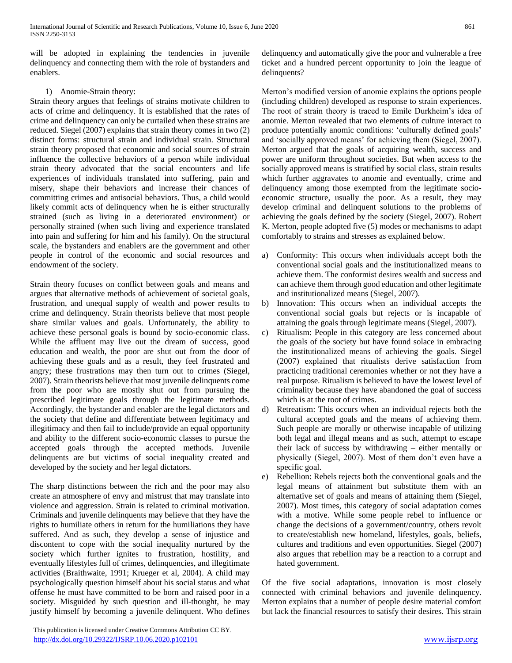will be adopted in explaining the tendencies in juvenile delinquency and connecting them with the role of bystanders and enablers.

# 1) Anomie-Strain theory:

Strain theory argues that feelings of strains motivate children to acts of crime and delinquency. It is established that the rates of crime and delinquency can only be curtailed when these strains are reduced. Siegel (2007) explains that strain theory comes in two (2) distinct forms: structural strain and individual strain. Structural strain theory proposed that economic and social sources of strain influence the collective behaviors of a person while individual strain theory advocated that the social encounters and life experiences of individuals translated into suffering, pain and misery, shape their behaviors and increase their chances of committing crimes and antisocial behaviors. Thus, a child would likely commit acts of delinquency when he is either structurally strained (such as living in a deteriorated environment) or personally strained (when such living and experience translated into pain and suffering for him and his family). On the structural scale, the bystanders and enablers are the government and other people in control of the economic and social resources and endowment of the society.

Strain theory focuses on conflict between goals and means and argues that alternative methods of achievement of societal goals, frustration, and unequal supply of wealth and power results to crime and delinquency. Strain theorists believe that most people share similar values and goals. Unfortunately, the ability to achieve these personal goals is bound by socio-economic class. While the affluent may live out the dream of success, good education and wealth, the poor are shut out from the door of achieving these goals and as a result, they feel frustrated and angry; these frustrations may then turn out to crimes (Siegel, 2007). Strain theorists believe that most juvenile delinquents come from the poor who are mostly shut out from pursuing the prescribed legitimate goals through the legitimate methods. Accordingly, the bystander and enabler are the legal dictators and the society that define and differentiate between legitimacy and illegitimacy and then fail to include/provide an equal opportunity and ability to the different socio-economic classes to pursue the accepted goals through the accepted methods. Juvenile delinquents are but victims of social inequality created and developed by the society and her legal dictators.

The sharp distinctions between the rich and the poor may also create an atmosphere of envy and mistrust that may translate into violence and aggression. Strain is related to criminal motivation. Criminals and juvenile delinquents may believe that they have the rights to humiliate others in return for the humiliations they have suffered. And as such, they develop a sense of injustice and discontent to cope with the social inequality nurtured by the society which further ignites to frustration, hostility, and eventually lifestyles full of crimes, delinquencies, and illegitimate activities (Braithwaite, 1991; Krueger et al, 2004). A child may psychologically question himself about his social status and what offense he must have committed to be born and raised poor in a society. Misguided by such question and ill-thought, he may justify himself by becoming a juvenile delinquent. Who defines

 This publication is licensed under Creative Commons Attribution CC BY. <http://dx.doi.org/10.29322/IJSRP.10.06.2020.p102101> [www.ijsrp.org](http://ijsrp.org/)

delinquency and automatically give the poor and vulnerable a free ticket and a hundred percent opportunity to join the league of delinquents?

Merton's modified version of anomie explains the options people (including children) developed as response to strain experiences. The root of strain theory is traced to Emile Durkheim's idea of anomie. Merton revealed that two elements of culture interact to produce potentially anomic conditions: 'culturally defined goals' and 'socially approved means' for achieving them (Siegel, 2007). Merton argued that the goals of acquiring wealth, success and power are uniform throughout societies. But when access to the socially approved means is stratified by social class, strain results which further aggravates to anomie and eventually, crime and delinquency among those exempted from the legitimate socioeconomic structure, usually the poor. As a result, they may develop criminal and delinquent solutions to the problems of achieving the goals defined by the society (Siegel, 2007). Robert K. Merton, people adopted five (5) modes or mechanisms to adapt comfortably to strains and stresses as explained below.

- a) Conformity: This occurs when individuals accept both the conventional social goals and the institutionalized means to achieve them. The conformist desires wealth and success and can achieve them through good education and other legitimate and institutionalized means (Siegel, 2007).
- b) Innovation: This occurs when an individual accepts the conventional social goals but rejects or is incapable of attaining the goals through legitimate means (Siegel, 2007).
- c) Ritualism: People in this category are less concerned about the goals of the society but have found solace in embracing the institutionalized means of achieving the goals. Siegel (2007) explained that ritualists derive satisfaction from practicing traditional ceremonies whether or not they have a real purpose. Ritualism is believed to have the lowest level of criminality because they have abandoned the goal of success which is at the root of crimes.
- d) Retreatism: This occurs when an individual rejects both the cultural accepted goals and the means of achieving them. Such people are morally or otherwise incapable of utilizing both legal and illegal means and as such, attempt to escape their lack of success by withdrawing – either mentally or physically (Siegel, 2007). Most of them don't even have a specific goal.
- e) Rebellion: Rebels rejects both the conventional goals and the legal means of attainment but substitute them with an alternative set of goals and means of attaining them (Siegel, 2007). Most times, this category of social adaptation comes with a motive. While some people rebel to influence or change the decisions of a government/country, others revolt to create/establish new homeland, lifestyles, goals, beliefs, cultures and traditions and even opportunities. Siegel (2007) also argues that rebellion may be a reaction to a corrupt and hated government.

Of the five social adaptations, innovation is most closely connected with criminal behaviors and juvenile delinquency. Merton explains that a number of people desire material comfort but lack the financial resources to satisfy their desires. This strain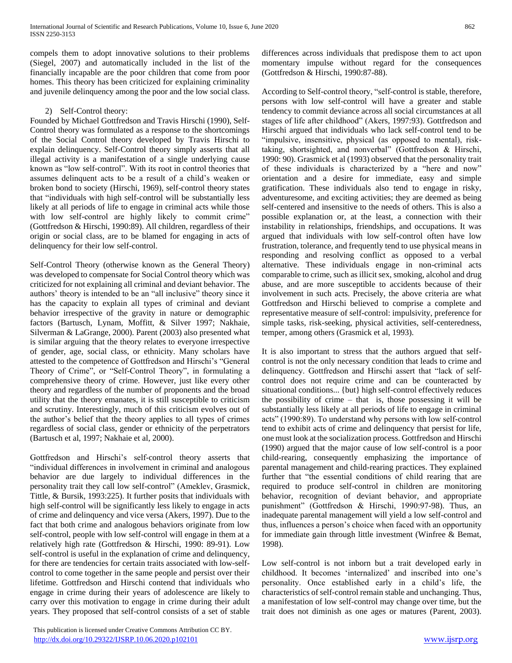compels them to adopt innovative solutions to their problems (Siegel, 2007) and automatically included in the list of the financially incapable are the poor children that come from poor homes. This theory has been criticized for explaining criminality and juvenile delinquency among the poor and the low social class.

# 2) Self-Control theory:

Founded by Michael Gottfredson and Travis Hirschi (1990), Self-Control theory was formulated as a response to the shortcomings of the Social Control theory developed by Travis Hirschi to explain delinquency. Self-Control theory simply asserts that all illegal activity is a manifestation of a single underlying cause known as "low self-control". With its root in control theories that assumes delinquent acts to be a result of a child's weaken or broken bond to society (Hirschi, 1969), self-control theory states that "individuals with high self-control will be substantially less likely at all periods of life to engage in criminal acts while those with low self-control are highly likely to commit crime" (Gottfredson & Hirschi, 1990:89). All children, regardless of their origin or social class, are to be blamed for engaging in acts of delinquency for their low self-control.

Self-Control Theory (otherwise known as the General Theory) was developed to compensate for Social Control theory which was criticized for not explaining all criminal and deviant behavior. The authors' theory is intended to be an "all inclusive" theory since it has the capacity to explain all types of criminal and deviant behavior irrespective of the gravity in nature or demographic factors (Bartusch, Lynam, Moffitt, & Silver 1997; Nakhaie, Silverman & LaGrange, 2000). Parent (2003) also presented what is similar arguing that the theory relates to everyone irrespective of gender, age, social class, or ethnicity. Many scholars have attested to the competence of Gottfredson and Hirschi's "General Theory of Crime", or "Self-Control Theory", in formulating a comprehensive theory of crime. However, just like every other theory and regardless of the number of proponents and the broad utility that the theory emanates, it is still susceptible to criticism and scrutiny. Interestingly, much of this criticism evolves out of the author's belief that the theory applies to all types of crimes regardless of social class, gender or ethnicity of the perpetrators (Bartusch et al, 1997; Nakhaie et al, 2000).

Gottfredson and Hirschi's self-control theory asserts that "individual differences in involvement in criminal and analogous behavior are due largely to individual differences in the personality trait they call low self-control" (Ameklev, Grasmick, Tittle, & Bursik, 1993:225). It further posits that individuals with high self-control will be significantly less likely to engage in acts of crime and delinquency and vice versa (Akers, 1997). Due to the fact that both crime and analogous behaviors originate from low self-control, people with low self-control will engage in them at a relatively high rate (Gottfredson & Hirschi, 1990: 89-91). Low self-control is useful in the explanation of crime and delinquency, for there are tendencies for certain traits associated with low-selfcontrol to come together in the same people and persist over their lifetime. Gottfredson and Hirschi contend that individuals who engage in crime during their years of adolescence are likely to carry over this motivation to engage in crime during their adult years. They proposed that self-control consists of a set of stable

 This publication is licensed under Creative Commons Attribution CC BY. <http://dx.doi.org/10.29322/IJSRP.10.06.2020.p102101> [www.ijsrp.org](http://ijsrp.org/)

differences across individuals that predispose them to act upon momentary impulse without regard for the consequences (Gottfredson & Hirschi, 1990:87-88).

According to Self-control theory, "self-control is stable, therefore, persons with low self-control will have a greater and stable tendency to commit deviance across all social circumstances at all stages of life after childhood" (Akers, 1997:93). Gottfredson and Hirschi argued that individuals who lack self-control tend to be "impulsive, insensitive, physical (as opposed to mental), risktaking, shortsighted, and nonverbal" (Gottfredson & Hirschi, 1990: 90). Grasmick et al (1993) observed that the personality trait of these individuals is characterized by a "here and now" orientation and a desire for immediate, easy and simple gratification. These individuals also tend to engage in risky, adventuresome, and exciting activities; they are deemed as being self-centered and insensitive to the needs of others. This is also a possible explanation or, at the least, a connection with their instability in relationships, friendships, and occupations. It was argued that individuals with low self-control often have low frustration, tolerance, and frequently tend to use physical means in responding and resolving conflict as opposed to a verbal alternative. These individuals engage in non-criminal acts comparable to crime, such as illicit sex, smoking, alcohol and drug abuse, and are more susceptible to accidents because of their involvement in such acts. Precisely, the above criteria are what Gottfredson and Hirschi believed to comprise a complete and representative measure of self-control: impulsivity, preference for simple tasks, risk-seeking, physical activities, self-centeredness, temper, among others (Grasmick et al, 1993).

It is also important to stress that the authors argued that selfcontrol is not the only necessary condition that leads to crime and delinquency. Gottfredson and Hirschi assert that "lack of selfcontrol does not require crime and can be counteracted by situational conditions... {but} high self-control effectively reduces the possibility of crime – that is, those possessing it will be substantially less likely at all periods of life to engage in criminal acts" (1990:89). To understand why persons with low self-control tend to exhibit acts of crime and delinquency that persist for life, one must look at the socialization process. Gottfredson and Hirschi (1990) argued that the major cause of low self-control is a poor child-rearing, consequently emphasizing the importance of parental management and child-rearing practices. They explained further that "the essential conditions of child rearing that are required to produce self-control in children are monitoring behavior, recognition of deviant behavior, and appropriate punishment" (Gottfredson & Hirschi, 1990:97-98). Thus, an inadequate parental management will yield a low self-control and thus, influences a person's choice when faced with an opportunity for immediate gain through little investment (Winfree & Bemat, 1998).

Low self-control is not inborn but a trait developed early in childhood. It becomes 'internalized' and inscribed into one's personality. Once established early in a child's life, the characteristics of self-control remain stable and unchanging. Thus, a manifestation of low self-control may change over time, but the trait does not diminish as one ages or matures (Parent, 2003).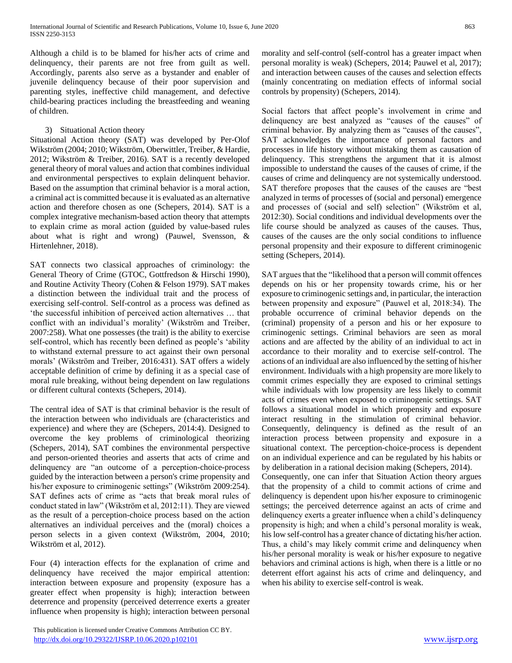Although a child is to be blamed for his/her acts of crime and delinquency, their parents are not free from guilt as well. Accordingly, parents also serve as a bystander and enabler of juvenile delinquency because of their poor supervision and parenting styles, ineffective child management, and defective child-bearing practices including the breastfeeding and weaning of children.

## 3) Situational Action theory

Situational Action theory (SAT) was developed by Per-Olof Wikström (2004; 2010; Wikström, Oberwittler, Treiber, & Hardie, 2012; Wikström & Treiber, 2016). SAT is a recently developed general theory of moral values and action that combines individual and environmental perspectives to explain delinquent behavior. Based on the assumption that criminal behavior is a moral action, a criminal act is committed because it is evaluated as an alternative action and therefore chosen as one (Schepers, 2014). SAT is a complex integrative mechanism-based action theory that attempts to explain crime as moral action (guided by value-based rules about what is right and wrong) (Pauwel, Svensson, & Hirtenlehner, 2018).

SAT connects two classical approaches of criminology: the General Theory of Crime (GTOC, Gottfredson & Hirschi 1990), and Routine Activity Theory (Cohen & Felson 1979). SAT makes a distinction between the individual trait and the process of exercising self-control. Self-control as a process was defined as 'the successful inhibition of perceived action alternatives … that conflict with an individual's morality' (Wikström and Treiber, 2007:258). What one possesses (the trait) is the ability to exercise self-control, which has recently been defined as people's 'ability to withstand external pressure to act against their own personal morals' (Wikström and Treiber, 2016:431). SAT offers a widely acceptable definition of crime by defining it as a special case of moral rule breaking, without being dependent on law regulations or different cultural contexts (Schepers, 2014).

The central idea of SAT is that criminal behavior is the result of the interaction between who individuals are (characteristics and experience) and where they are (Schepers, 2014:4). Designed to overcome the key problems of criminological theorizing (Schepers, 2014), SAT combines the environmental perspective and person-oriented theories and asserts that acts of crime and delinquency are "an outcome of a perception-choice-process guided by the interaction between a person's crime propensity and his/her exposure to criminogenic settings" (Wikström 2009:254). SAT defines acts of crime as "acts that break moral rules of conduct stated in law" (Wikström et al, 2012:11). They are viewed as the result of a perception-choice process based on the action alternatives an individual perceives and the (moral) choices a person selects in a given context (Wikström, 2004, 2010; Wikström et al, 2012).

Four (4) interaction effects for the explanation of crime and delinquency have received the major empirical attention: interaction between exposure and propensity (exposure has a greater effect when propensity is high); interaction between deterrence and propensity (perceived deterrence exerts a greater influence when propensity is high); interaction between personal

 This publication is licensed under Creative Commons Attribution CC BY. <http://dx.doi.org/10.29322/IJSRP.10.06.2020.p102101> [www.ijsrp.org](http://ijsrp.org/)

morality and self-control (self-control has a greater impact when personal morality is weak) (Schepers, 2014; Pauwel et al, 2017); and interaction between causes of the causes and selection effects (mainly concentrating on mediation effects of informal social controls by propensity) (Schepers, 2014).

Social factors that affect people's involvement in crime and delinquency are best analyzed as "causes of the causes" of criminal behavior. By analyzing them as "causes of the causes", SAT acknowledges the importance of personal factors and processes in life history without mistaking them as causation of delinquency. This strengthens the argument that it is almost impossible to understand the causes of the causes of crime, if the causes of crime and delinquency are not systemically understood. SAT therefore proposes that the causes of the causes are "best analyzed in terms of processes of (social and personal) emergence and processes of (social and self) selection" (Wikström et al, 2012:30). Social conditions and individual developments over the life course should be analyzed as causes of the causes. Thus, causes of the causes are the only social conditions to influence personal propensity and their exposure to different criminogenic setting (Schepers, 2014).

SAT argues that the "likelihood that a person will commit offences depends on his or her propensity towards crime, his or her exposure to criminogenic settings and, in particular, the interaction between propensity and exposure" (Pauwel et al, 2018:34). The probable occurrence of criminal behavior depends on the (criminal) propensity of a person and his or her exposure to criminogenic settings. Criminal behaviors are seen as moral actions and are affected by the ability of an individual to act in accordance to their morality and to exercise self-control. The actions of an individual are also influenced by the setting of his/her environment. Individuals with a high propensity are more likely to commit crimes especially they are exposed to criminal settings while individuals with low propensity are less likely to commit acts of crimes even when exposed to criminogenic settings. SAT follows a situational model in which propensity and exposure interact resulting in the stimulation of criminal behavior. Consequently, delinquency is defined as the result of an interaction process between propensity and exposure in a situational context. The perception-choice-process is dependent on an individual experience and can be regulated by his habits or by deliberation in a rational decision making (Schepers, 2014).

Consequently, one can infer that Situation Action theory argues that the propensity of a child to commit actions of crime and delinquency is dependent upon his/her exposure to criminogenic settings; the perceived deterrence against an acts of crime and delinquency exerts a greater influence when a child's delinquency propensity is high; and when a child's personal morality is weak, his low self-control has a greater chance of dictating his/her action. Thus, a child's may likely commit crime and delinquency when his/her personal morality is weak or his/her exposure to negative behaviors and criminal actions is high, when there is a little or no deterrent effort against his acts of crime and delinquency, and when his ability to exercise self-control is weak.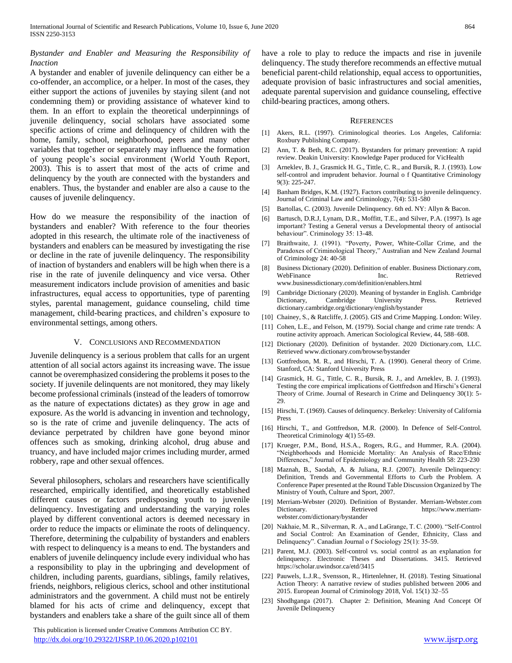## *Bystander and Enabler and Measuring the Responsibility of Inaction*

A bystander and enabler of juvenile delinquency can either be a co-offender, an accomplice, or a helper. In most of the cases, they either support the actions of juveniles by staying silent (and not condemning them) or providing assistance of whatever kind to them. In an effort to explain the theoretical underpinnings of juvenile delinquency, social scholars have associated some specific actions of crime and delinquency of children with the home, family, school, neighborhood, peers and many other variables that together or separately may influence the formation of young people's social environment (World Youth Report, 2003). This is to assert that most of the acts of crime and delinquency by the youth are connected with the bystanders and enablers. Thus, the bystander and enabler are also a cause to the causes of juvenile delinquency.

How do we measure the responsibility of the inaction of bystanders and enabler? With reference to the four theories adopted in this research, the ultimate role of the inactiveness of bystanders and enablers can be measured by investigating the rise or decline in the rate of juvenile delinquency. The responsibility of inaction of bystanders and enablers will be high when there is a rise in the rate of juvenile delinquency and vice versa. Other measurement indicators include provision of amenities and basic infrastructures, equal access to opportunities, type of parenting styles, parental management, guidance counseling, child time management, child-bearing practices, and children's exposure to environmental settings, among others.

#### V. CONCLUSIONS AND RECOMMENDATION

Juvenile delinquency is a serious problem that calls for an urgent attention of all social actors against its increasing wave. The issue cannot be overemphasized considering the problems it poses to the society. If juvenile delinquents are not monitored, they may likely become professional criminals (instead of the leaders of tomorrow as the nature of expectations dictates) as they grow in age and exposure. As the world is advancing in invention and technology, so is the rate of crime and juvenile delinquency. The acts of deviance perpetrated by children have gone beyond minor offences such as smoking, drinking alcohol, drug abuse and truancy, and have included major crimes including murder, armed robbery, rape and other sexual offences.

Several philosophers, scholars and researchers have scientifically researched, empirically identified, and theoretically established different causes or factors predisposing youth to juvenile delinquency. Investigating and understanding the varying roles played by different conventional actors is deemed necessary in order to reduce the impacts or eliminate the roots of delinquency. Therefore, determining the culpability of bystanders and enablers with respect to delinquency is a means to end. The bystanders and enablers of juvenile delinquency include every individual who has a responsibility to play in the upbringing and development of children, including parents, guardians, siblings, family relatives, friends, neighbors, religious clerics, school and other institutional administrators and the government. A child must not be entirely blamed for his acts of crime and delinquency, except that bystanders and enablers take a share of the guilt since all of them

 This publication is licensed under Creative Commons Attribution CC BY. <http://dx.doi.org/10.29322/IJSRP.10.06.2020.p102101> [www.ijsrp.org](http://ijsrp.org/)

have a role to play to reduce the impacts and rise in juvenile delinquency. The study therefore recommends an effective mutual beneficial parent-child relationship, equal access to opportunities, adequate provision of basic infrastructures and social amenities, adequate parental supervision and guidance counseling, effective child-bearing practices, among others.

#### **REFERENCES**

- [1] Akers, R.L. (1997). Criminological theories. Los Angeles, California: Roxbury Publishing Company.
- [2] Ann, T. & Beth, R.C. (2017). Bystanders for primary prevention: A rapid review. Deakin University: Knowledge Paper produced for VicHealth
- [3] Arneklev, B. J., Grasmick H. G., Tittle, C. R., and Bursik, R. J. (1993). Low self-control and imprudent behavior. Journal o f Quantitative Criminology 9(3): 225-247.
- [4] Banham Bridges, K.M. (1927). Factors contributing to juvenile delinquency. Journal of Criminal Law and Criminology, 7(4): 531-580
- [5] Bartollas, C. (2003). Juvenile Delinquency. 6th ed. NY: Allyn & Bacon.
- [6] Bartusch, D.R.J, Lynam, D.R., Moffitt, T.E., and Silver, P.A. (1997). Is age important? Testing a General versus a Developmental theory of antisocial behaviour". Criminology 35: 13-48.
- [7] Braithwaite, J. (1991). "Poverty, Power, White-Collar Crime, and the Paradoxes of Criminological Theory," Australian and New Zealand Journal of Criminology 24: 40-58
- [8] Business Dictionary (2020). Definition of enabler. Business Dictionary.com, WebFinance **Inc. Inc.** Retrieved www.businessdictionary.com/definition/enablers.html
- [9] Cambridge Dictionary (2020). Meaning of bystander in English. Cambridge Dictionary, Cambridge University Press. Retrieved dictionary.cambridge.org/dictionary/english/bystander
- [10] Chainey, S., & Ratcliffe, J. (2005). GIS and Crime Mapping. London: Wiley.
- [11] Cohen, L.E., and Felson, M. (1979). Social change and crime rate trends: A routine activity approach. American Sociological Review, 44, 588–608.
- [12] Dictionary (2020). Definition of bystander. 2020 Dictionary.com, LLC. Retrieved www.dictionary.com/browse/bystander
- [13] Gottfredson, M. R., and Hirschi, T. A. (1990). General theory of Crime. Stanford, CA: Stanford University Press
- [14] Grasmick, H. G., Tittle, C. R., Bursik, R. J., and Arneklev, B. J. (1993). Testing the core empirical implications of Gottfredson and Hirschi's General Theory of Crime. Journal of Research in Crime and Delinquency 30(1): 5- 29.
- [15] Hirschi, T. (1969). Causes of delinquency. Berkeley: University of California Press
- [16] Hirschi, T., and Gottfredson, M.R. (2000). In Defence of Self-Control. Theoretical Criminology 4(1) 55-69.
- [17] Krueger, P.M., Bond, H.S.A., Rogers, R.G., and Hummer, R.A. (2004). "Neighborhoods and Homicide Mortality: An Analysis of Race/Ethnic Differences," Journal of Epidemiology and Community Health 58: 223-230
- [18] Maznah, B., Saodah, A. & Juliana, R.J. (2007). Juvenile Delinquency: Definition, Trends and Governmental Efforts to Curb the Problem. A Conference Paper presented at the Round Table Discussion Organized by The Ministry of Youth, Culture and Sport, 2007.
- [19] Merriam-Webster (2020). Definition of Bystander. Merriam-Webster.com Dictionary. Retrieved https://www.merriamwebster.com/dictionary/bystander
- [20] Nakhaie, M. R., Silverman, R. A., and LaGrange, T. C. (2000). "Self-Control and Social Control: An Examination of Gender, Ethnicity, Class and Delinquency". Canadian Journal o f Sociology 25(1): 35-59.
- [21] Parent, M.J. (2003). Self-control vs. social control as an explanation for delinquency. Electronic Theses and Dissertations. 3415. Retrieved https://scholar.uwindsor.ca/etd/3415
- [22] Pauwels, L.J.R., Svensson, R., Hirtenlehner, H. (2018). Testing Situational Action Theory: A narrative review of studies published between 2006 and 2015. European Journal of Criminology 2018, Vol. 15(1) 32–55
- [23] Shodhganga (2017). Chapter 2: Definition, Meaning And Concept Of Juvenile Delinquency